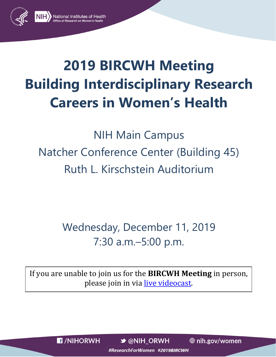

# **2019 BIRCWH Meeting Building Interdisciplinary Research Careers in Women's Health**

NIH Main Campus Natcher Conference Center (Building 45) Ruth L. Kirschstein Auditorium

> Wednesday, December 11, 2019 7:30 a.m.–5:00 p.m.

If you are unable to join us for the **BIRCWH Meeting** in person, please join in via [live videocast.](https://videocast.nih.gov/summary.asp?live=34523&bhcp=1)

**F** /NIHORWH

 $\rightarrow$  @NIH ORWH

**⊕** nih.gov/women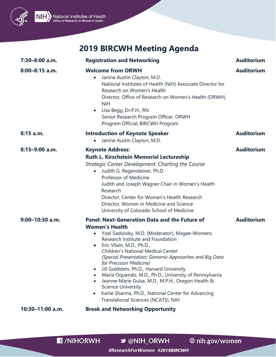



| 7:30-8:00 a.m.    | <b>Registration and Networking</b>                                                                                                                                                                                                                                                                                                                                                                                                                                                                                                                                                                                                                                                                      | <b>Auditorium</b> |
|-------------------|---------------------------------------------------------------------------------------------------------------------------------------------------------------------------------------------------------------------------------------------------------------------------------------------------------------------------------------------------------------------------------------------------------------------------------------------------------------------------------------------------------------------------------------------------------------------------------------------------------------------------------------------------------------------------------------------------------|-------------------|
| $8:00-8:15$ a.m.  | <b>Welcome from ORWH</b><br>Janine Austin Clayton, M.D.<br>$\bullet$<br>National Institutes of Health (NIH) Associate Director for<br>Research on Women's Health<br>Director, Office of Research on Women's Health (ORWH),<br><b>NIH</b><br>Lisa Begg, Dr.P.H., RN<br>$\bullet$<br>Senior Research Program Officer, ORWH<br>Program Official, BIRCWH Program                                                                                                                                                                                                                                                                                                                                            | <b>Auditorium</b> |
| $8:15$ a.m.       | <b>Introduction of Keynote Speaker</b><br>Janine Austin Clayton, M.D.                                                                                                                                                                                                                                                                                                                                                                                                                                                                                                                                                                                                                                   | <b>Auditorium</b> |
| $8:15-9:00$ a.m.  | <b>Keynote Address:</b><br>Ruth L. Kirschstein Memorial Lectureship<br><b>Strategic Career Development: Charting the Course</b><br>Judith G. Regensteiner, Ph.D.<br>$\bullet$<br>Professor of Medicine<br>Judith and Joseph Wagner Chair in Women's Health<br>Research<br>Director, Center for Women's Health Research<br>Director, Women in Medicine and Science<br>University of Colorado School of Medicine                                                                                                                                                                                                                                                                                          | <b>Auditorium</b> |
| $9:00-10:30$ a.m. | <b>Panel: Next-Generation Data and the Future of</b><br><b>Women's Health</b><br>Yoel Sadovsky, M.D. (Moderator), Magee-Womens<br>$\bullet$<br>Research Institute and Foundation<br>Eric Vilain, M.D., Ph.D.,<br>$\bullet$<br><b>Children's National Medical Center</b><br>(Special Presentation: Genomic Approaches and Big Data<br>for Precision Medicine)<br>Jill Goldstein, Ph.D., Harvard University<br>$\bullet$<br>Maria Oquendo, M.D., Ph.D., University of Pennsylvania<br>$\bullet$<br>Jeanne-Marie Guise, M.D., M.P.H., Oregon Health &<br>$\bullet$<br><b>Science University</b><br>Karlie Sharma, Ph.D., National Center for Advancing<br>$\bullet$<br>Translational Sciences (NCATS), NIH | <b>Auditorium</b> |
| 10:30-11:00 a.m.  | <b>Break and Networking Opportunity</b>                                                                                                                                                                                                                                                                                                                                                                                                                                                                                                                                                                                                                                                                 |                   |

**B**/NIHORWH

**→ @NIH\_ORWH** 

**● nih.gov/women**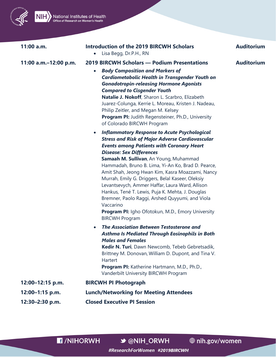

National Institutes of Health

**Introduction of the 2019 BIRCWH Scholars**  $11:00 a.m.$ **Auditorium** • Lisa Begg, Dr.P.H., RN 11:00 a.m.-12:00 p.m. **2019 BIRCWH Scholars - Podium Presentations Auditorium**  $\bullet$ **Body Composition and Markers of** Cardiometabolic Health in Transgender Youth on **Gonadotropin-releasing Hormone Agonists Compared to Cisgender Youth** Natalie J. Nokoff, Sharon L. Scarbro, Elizabeth Juarez-Colunga, Kerrie L. Moreau, Kristen J. Nadeau, Philip Zeitler, and Megan M. Kelsey **Program PI:** Judith Regensteiner, Ph.D., University of Colorado BIRCWH Program **Inflammatory Response to Acute Psychological**  $\bullet$ **Stress and Risk of Major Adverse Cardiovascular Events among Patients with Coronary Heart Disease: Sex Differences** Samaah M. Sullivan, An Young, Muhammad Hammadah, Bruno B. Lima, Yi-An Ko, Brad D. Pearce, Amit Shah, Jeong Hwan Kim, Kasra Moazzami, Nancy Murrah, Emily G. Driggers, Belal Kaseer, Oleksiy Levantsevych, Ammer Haffar, Laura Ward, Allison Hankus, Tené T. Lewis, Puja K. Mehta, J. Douglas Bremner, Paolo Raggi, Arshed Quyyumi, and Viola Vaccarino **Program PI:** Igho Ofotokun, M.D., Emory University **BIRCWH Program The Association Between Testosterone and Asthma Is Mediated Through Eosinophils in Both Males and Females** Kedir N. Turi, Dawn Newcomb, Tebeb Gebretsadik, Brittney M. Donovan, William D. Dupont, and Tina V. Hartert **Program PI:** Katherine Hartmann, M.D., Ph.D., Vanderbilt University BIRCWH Program 12:00-12:15 p.m. **BIRCWH PI Photograph** 12:00-1:15 p.m. **Lunch/Networking for Meeting Attendees** 12:30-2:30 p.m. **Closed Executive PI Session** 

**E** /NIHORWH

 $\rightarrow$  @NIH ORWH

**⊕** nih.gov/women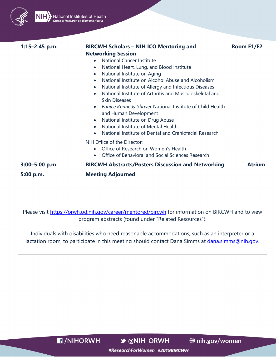

National Institutes of Health

#### **1:15–2:45 p.m. BIRCWH Scholars – NIH ICO Mentoring and**

**Room E1/E2**

#### **Networking Session**

- National Cancer Institute
- National Heart, Lung, and Blood Institute
- National Institute on Aging
- National Institute on Alcohol Abuse and Alcoholism
- National Institute of Allergy and Infectious Diseases
- National Institute of Arthritis and Musculoskeletal and Skin Diseases
- *Eunice Kennedy Shriver* National Institute of Child Health and Human Development
- National Institute on Drug Abuse
- National Institute of Mental Health
- National Institute of Dental and Craniofacial Research

NIH Office of the Director:

- Office of Research on Women's Health
- Office of Behavioral and Social Sciences Research

**3:00–5:00 p.m. BIRCWH Abstracts/Posters Discussion and Networking Atrium 5:00 p.m. Meeting Adjourned**

Please visit<https://orwh.od.nih.gov/career/mentored/bircwh> for information on BIRCWH and to view program abstracts (found under "Related Resources").

Individuals with disabilities who need reasonable accommodations, such as an interpreter or a lactation room, to participate in this meeting should contact Dana Simms at *dana.simms@nih.gov.* 

**E** /NIHORWH

**→ @NIH ORWH** 

**♦ nih.gov/women**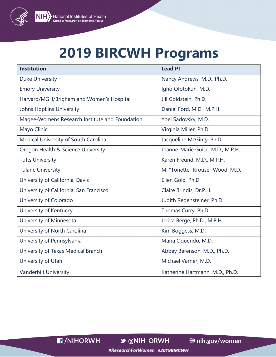

#### **NIH** National Institutes of Health<br>
Office of Research on Women's Health

### **2019 BIRCWH Programs**

| <b>Institution</b>                             | <b>Lead PI</b>                   |
|------------------------------------------------|----------------------------------|
| Duke University                                | Nancy Andrews, M.D., Ph.D.       |
| <b>Emory University</b>                        | Igho Ofotokun, M.D.              |
| Harvard/MGH/Brigham and Women's Hospital       | Jill Goldstein, Ph.D.            |
| <b>Johns Hopkins University</b>                | Daniel Ford, M.D., M.P.H.        |
| Magee-Womens Research Institute and Foundation | Yoel Sadovsky, M.D.              |
| Mayo Clinic                                    | Virginia Miller, Ph.D.           |
| Medical University of South Carolina           | Jacqueline McGinty, Ph.D.        |
| Oregon Health & Science University             | Jeanne-Marie Guise, M.D., M.P.H. |
| <b>Tufts University</b>                        | Karen Freund, M.D., M.P.H.       |
| <b>Tulane University</b>                       | M. "Tonette" Krousel-Wood, M.D.  |
| University of California, Davis                | Ellen Gold, Ph.D.                |
| University of California, San Francisco        | Claire Brindis, Dr.P.H.          |
| University of Colorado                         | Judith Regensteiner, Ph.D.       |
| University of Kentucky                         | Thomas Curry, Ph.D.              |
| University of Minnesota                        | Jerica Berge, Ph.D., M.P.H.      |
| University of North Carolina                   | Kim Boggess, M.D.                |
| University of Pennsylvania                     | Maria Oquendo, M.D.              |
| University of Texas Medical Branch             | Abbey Berenson, M.D., Ph.D.      |
| University of Utah                             | Michael Varner, M.D.             |
| Vanderbilt University                          | Katherine Hartmann, M.D., Ph.D.  |

**E** /NIHORWH

**→ @NIH\_ORWH**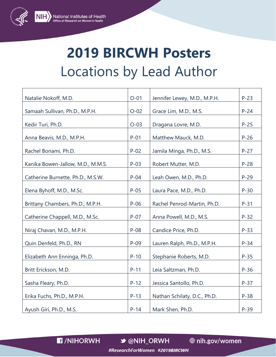

## **2019 BIRCWH Posters** Locations by Lead Author

| Natalie Nokoff, M.D.              | $O-01$ | Jennifer Lewey, M.D., M.P.H. | $P-23$ |
|-----------------------------------|--------|------------------------------|--------|
| Samaah Sullivan, Ph.D., M.P.H.    | $O-02$ | Grace Lim, M.D., M.S.        | $P-24$ |
| Kedir Turi, Ph.D.                 | $O-03$ | Dragana Lovre, M.D.          | $P-25$ |
| Anna Beavis, M.D., M.P.H.         | $P-01$ | Matthew Mauck, M.D.          | $P-26$ |
| Rachel Bonami, Ph.D.              | $P-02$ | Jamila Minga, Ph.D., M.S.    | $P-27$ |
| Kanika Bowen-Jallow, M.D., M.M.S. | $P-03$ | Robert Mutter, M.D.          | $P-28$ |
| Catherine Burnette, Ph.D., M.S.W. | $P-04$ | Leah Owen, M.D., Ph.D.       | $P-29$ |
| Elena Byhoff, M.D., M.Sc.         | $P-05$ | Laura Pace, M.D., Ph.D.      | $P-30$ |
| Brittany Chambers, Ph.D., M.P.H.  | $P-06$ | Rachel Penrod-Martin, Ph.D.  | $P-31$ |
| Catherine Chappell, M.D., M.Sc.   | $P-07$ | Anna Powell, M.D., M.S.      | $P-32$ |
| Niraj Chavan, M.D., M.P.H.        | $P-08$ | Candice Price, Ph.D.         | $P-33$ |
| Quin Denfeld, Ph.D., RN           | $P-09$ | Lauren Ralph, Ph.D., M.P.H.  | $P-34$ |
| Elizabeth Ann Enninga, Ph.D.      | $P-10$ | Stephanie Roberts, M.D.      | $P-35$ |
| Britt Erickson, M.D.              | $P-11$ | Leia Saltzman, Ph.D.         | $P-36$ |
| Sasha Fleary, Ph.D.               | $P-12$ | Jessica Santollo, Ph.D.      | $P-37$ |
| Erika Fuchs, Ph.D., M.P.H.        | $P-13$ | Nathan Schilaty, D.C., Ph.D. | $P-38$ |
| Ayush Giri, Ph.D., M.S.           | $P-14$ | Mark Shen, Ph.D.             | $P-39$ |

**F** /NIHORWH

**→ @NIH\_ORWH** 

**⊕** nih.gov/women